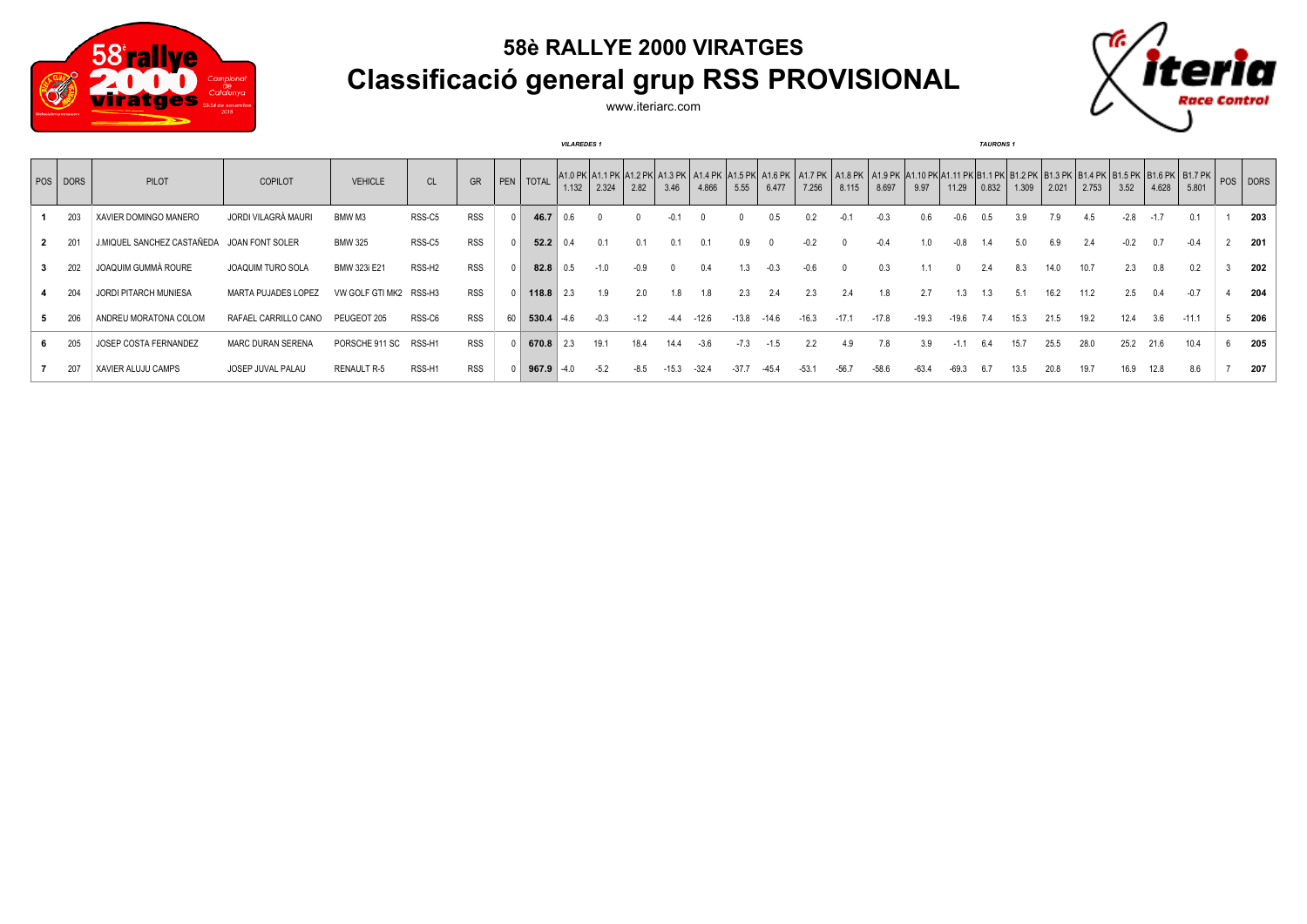

## **58è RALLYE 2000 VIRATGES Classificació general grup RSS PROVISIONAL**



www.iteriarc.com

|          |                            |                            |                    |                    |            |    |             | <b>VILAREDES 1</b> |        |        |        |         |         |         |         |         |         |         |         | <b>TAURONS 1</b> |       |       |       |        |       |                                                                                                                                                                                                                                         |     |
|----------|----------------------------|----------------------------|--------------------|--------------------|------------|----|-------------|--------------------|--------|--------|--------|---------|---------|---------|---------|---------|---------|---------|---------|------------------|-------|-------|-------|--------|-------|-----------------------------------------------------------------------------------------------------------------------------------------------------------------------------------------------------------------------------------------|-----|
| POS DORS | PILOT                      | <b>COPILOT</b>             | <b>VEHICLE</b>     | CL                 | GR         |    | PEN   TOTAL | 1.132              | 2.324  | 2.82   | 3.46   | 4.866   | 5.55    | 6.477   | 7.256   | 8.115   | 8.697   | 9.97    | 11.29   | $\big  0.832$    | 1.309 | 2.021 | 2.753 | 3.52   | 4.628 | A1.0 PK A1.1 PK A1.2 PK A1.3 PK A1.4 PK A1.4 PK A1.5 PK A1.6 PK A1.7 PK A1.8 PK A1.10 PK A1.11 PK B1.1 PK B1.2 PK B1.3 PK B1.4 PK B1.5 PK B1.5 PK B1.7 PK B1.7 PK B1.7 PK B1.7 PK B1.7 PK B1.7 PK B1.7 PK B1.7 PK B1.7 PK B1.7<br>5.801 |     |
| 203      | XAVIER DOMINGO MANERO      | JORDI VILAGRÀ MAURI        | BMW M3             | RSS-C5             | <b>RSS</b> |    | 46.7        | 0 R                |        |        |        |         |         | 0.5     |         |         | $-0.3$  | 0.6     | -0.6    | 0.5              | 3.9   | 7.9   | 4.5   | $-2.8$ |       | 0.1                                                                                                                                                                                                                                     | 203 |
| 201      | J.MIQUEL SANCHEZ CASTAÑEDA | JOAN FONT SOLER            | <b>BMW 325</b>     | RSS-C5             | <b>RSS</b> |    | 52.2        |                    |        | 0.1    |        | 0.1     | 0.9     |         |         |         |         |         |         |                  |       | 6.9   |       |        |       |                                                                                                                                                                                                                                         | 201 |
| 202      | JOAQUIM GUMMÀ ROURE        | <b>JOAQUIM TURO SOLA</b>   | BMW 323i E21       | RSS-H <sub>2</sub> | <b>RSS</b> |    | 82.8        |                    |        | $-0.9$ |        | 0.4     |         | -0.3    | -06     |         | 0.3     |         |         | 2.4              | 8.3   | 14.0  | 10.7  | 2.3    | 0.8   | 0.2                                                                                                                                                                                                                                     | 202 |
| 204      | JORDI PITARCH MUNIESA      | <b>MARTA PUJADES LOPEZ</b> | VW GOLF GTI MK2    | RSS-H3             | <b>RSS</b> |    | 118.8       | 2.3                | 1.9    | 2.0    | 1.8    | 1.8     | 2.3     | 2.4     | 2.3     | 2.4     | 1.8     | 2.7     | 1.3     | 1.3              | 5.1   | 16.2  | 11.2  | 2.5    | 0.4   | $-0.7$                                                                                                                                                                                                                                  | 204 |
| 206      | ANDREU MORATONA COLOM      | RAFAEL CARRILLO CANO       | PEUGEOT 205        | RSS-C6             | <b>RSS</b> | 60 | 530.4       | $-46$              |        | $-1.2$ | $-4.4$ | $-12.6$ | $-13.8$ | $-14.6$ | $-16.3$ | $-17.1$ | $-17.8$ | $-19.3$ | $-19.6$ | 7.4              | 15.3  | 21.5  | 19.2  | 12.4   | 3.6   | $-11.1$                                                                                                                                                                                                                                 | 206 |
| 205      | JOSEP COSTA FERNANDEZ      | <b>MARC DURAN SERENA</b>   | PORSCHE 911 SC     | RSS-H1             | <b>RSS</b> |    | 670.8       |                    | 19.1   | 18.4   |        | $-3.6$  |         |         |         |         | 7.8     | 3.9     |         | 6.4              | 15.7  | 25.5  | 28.0  | 25.2   | 21.6  | 10.4                                                                                                                                                                                                                                    | 205 |
| 207      | XAVIER ALUJU CAMPS         | JOSEP JUVAL PALAU          | <b>RENAULT R-5</b> | RSS-H1             | RSS        |    | 967.9       | -4.0               | $-5.2$ | $-8.5$ |        | $-32.4$ | $-37.7$ |         | $-53.$  | -567    | $-58.6$ | $-63.4$ | $-69.3$ |                  | 13.5  | 20.8  | 19.7  | 16.9   |       | 8.6                                                                                                                                                                                                                                     | 207 |